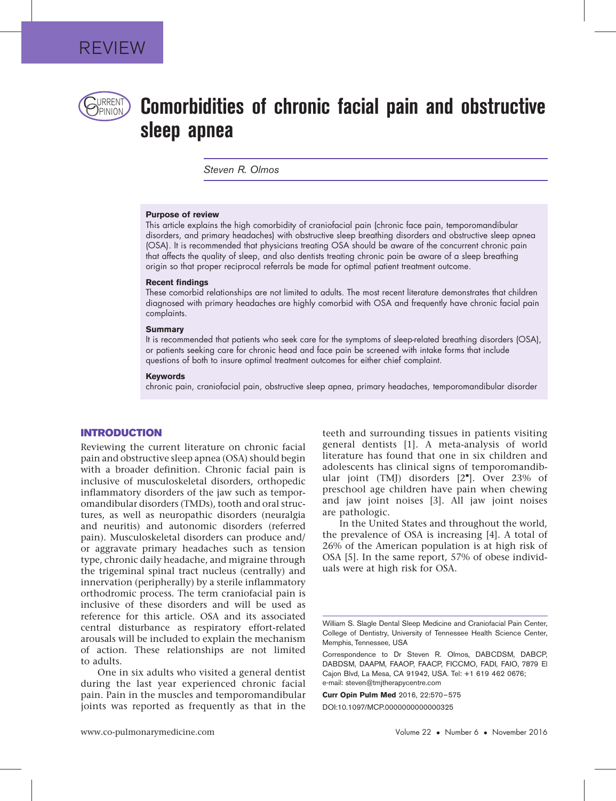

# $P$ RRENT $\bigcirc$  Comorbidities of chronic facial pain and obstructive sleep apnea

Steven R. Olmos

#### Purpose of review

This article explains the high comorbidity of craniofacial pain (chronic face pain, temporomandibular disorders, and primary headaches) with obstructive sleep breathing disorders and obstructive sleep apnea (OSA). It is recommended that physicians treating OSA should be aware of the concurrent chronic pain that affects the quality of sleep, and also dentists treating chronic pain be aware of a sleep breathing origin so that proper reciprocal referrals be made for optimal patient treatment outcome.

#### Recent findings

These comorbid relationships are not limited to adults. The most recent literature demonstrates that children diagnosed with primary headaches are highly comorbid with OSA and frequently have chronic facial pain complaints.

#### **Summary**

It is recommended that patients who seek care for the symptoms of sleep-related breathing disorders (OSA), or patients seeking care for chronic head and face pain be screened with intake forms that include questions of both to insure optimal treatment outcomes for either chief complaint.

#### Keywords

chronic pain, craniofacial pain, obstructive sleep apnea, primary headaches, temporomandibular disorder

## INTRODUCTION

Reviewing the current literature on chronic facial pain and obstructive sleep apnea (OSA) should begin with a broader definition. Chronic facial pain is inclusive of musculoskeletal disorders, orthopedic inflammatory disorders of the jaw such as temporomandibular disorders (TMDs), tooth and oral structures, as well as neuropathic disorders (neuralgia and neuritis) and autonomic disorders (referred pain). Musculoskeletal disorders can produce and/ or aggravate primary headaches such as tension type, chronic daily headache, and migraine through the trigeminal spinal tract nucleus (centrally) and innervation (peripherally) by a sterile inflammatory orthodromic process. The term craniofacial pain is inclusive of these disorders and will be used as reference for this article. OSA and its associated central disturbance as respiratory effort-related arousals will be included to explain the mechanism of action. These relationships are not limited to adults.

One in six adults who visited a general dentist during the last year experienced chronic facial pain. Pain in the muscles and temporomandibular joints was reported as frequently as that in the teeth and surrounding tissues in patients visiting general dentists [\[1\].](#page-4-0) A meta-analysis of world literature has found that one in six children and adolescents has clinical signs of temporomandib-ular joint (TMJ) disorders [\[2](#page-4-0)"[\]](#page-4-0). Over 23% of preschool age children have pain when chewing and jaw joint noises [\[3\].](#page-4-0) All jaw joint noises are pathologic.

In the United States and throughout the world, the prevalence of OSA is increasing [\[4\].](#page-4-0) A total of 26% of the American population is at high risk of OSA [\[5\].](#page-4-0) In the same report, 57% of obese individuals were at high risk for OSA.

Curr Opin Pulm Med 2016, 22:570–575 DOI:10.1097/MCP.0000000000000325

William S. Slagle Dental Sleep Medicine and Craniofacial Pain Center, College of Dentistry, University of Tennessee Health Science Center, Memphis, Tennessee, USA

Correspondence to Dr Steven R. Olmos, DABCDSM, DABCP, DABDSM, DAAPM, FAAOP, FAACP, FICCMO, FADI, FAIO, 7879 El Cajon Blvd, La Mesa, CA 91942, USA. Tel: +1 619 462 0676; e-mail: [steven@tmjtherapycentre.com](mailto:steven@tmjtherapycentre.com)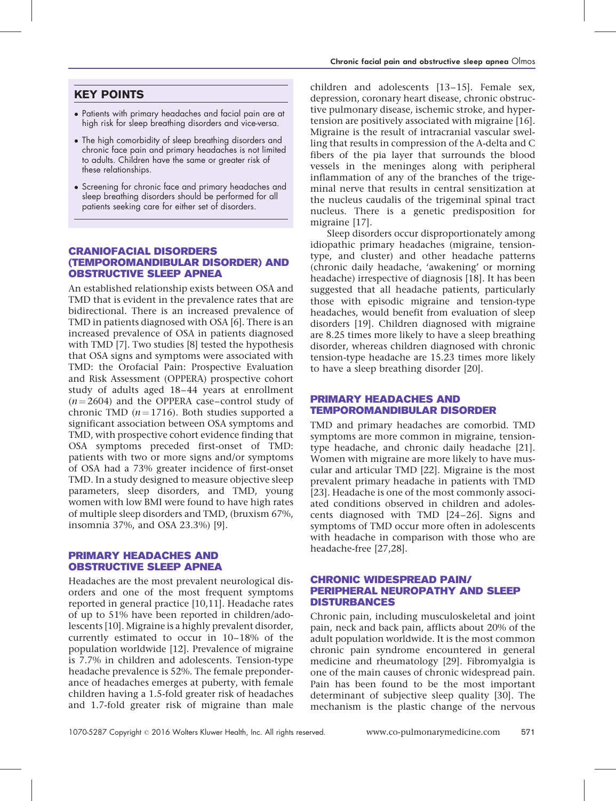## KEY POINTS

- Patients with primary headaches and facial pain are at high risk for sleep breathing disorders and vice-versa.
- The high comorbidity of sleep breathing disorders and chronic face pain and primary headaches is not limited to adults. Children have the same or greater risk of these relationships.
- Screening for chronic face and primary headaches and sleep breathing disorders should be performed for all patients seeking care for either set of disorders.

## CRANIOFACIAL DISORDERS (TEMPOROMANDIBULAR DISORDER) AND OBSTRUCTIVE SLEEP APNEA

An established relationship exists between OSA and TMD that is evident in the prevalence rates that are bidirectional. There is an increased prevalence of TMD in patients diagnosed with OSA [\[6\]](#page-4-0). There is an increased prevalence of OSA in patients diagnosed with TMD [\[7\]](#page-4-0). Two studies [\[8\]](#page-4-0) tested the hypothesis that OSA signs and symptoms were associated with TMD: the Orofacial Pain: Prospective Evaluation and Risk Assessment (OPPERA) prospective cohort study of adults aged 18–44 years at enrollment  $(n = 2604)$  and the OPPERA case–control study of chronic TMD ( $n = 1716$ ). Both studies supported a significant association between OSA symptoms and TMD, with prospective cohort evidence finding that OSA symptoms preceded first-onset of TMD: patients with two or more signs and/or symptoms of OSA had a 73% greater incidence of first-onset TMD. In a study designed to measure objective sleep parameters, sleep disorders, and TMD, young women with low BMI were found to have high rates of multiple sleep disorders and TMD, (bruxism 67%, insomnia 37%, and OSA 23.3%) [\[9\]](#page-4-0).

## PRIMARY HEADACHES AND OBSTRUCTIVE SLEEP APNEA

Headaches are the most prevalent neurological disorders and one of the most frequent symptoms reported in general practice [\[10,11\]](#page-4-0). Headache rates of up to 51% have been reported in children/adolescents [\[10\]](#page-4-0). Migraine is a highly prevalent disorder, currently estimated to occur in 10–18% of the population worldwide [\[12\]](#page-4-0). Prevalence of migraine is 7.7% in children and adolescents. Tension-type headache prevalence is 52%. The female preponderance of headaches emerges at puberty, with female children having a 1.5-fold greater risk of headaches and 1.7-fold greater risk of migraine than male

children and adolescents [\[13–15\].](#page-4-0) Female sex, depression, coronary heart disease, chronic obstructive pulmonary disease, ischemic stroke, and hypertension are positively associated with migraine [\[16\]](#page-4-0). Migraine is the result of intracranial vascular swelling that results in compression of the A-delta and C fibers of the pia layer that surrounds the blood vessels in the meninges along with peripheral inflammation of any of the branches of the trigeminal nerve that results in central sensitization at the nucleus caudalis of the trigeminal spinal tract nucleus. There is a genetic predisposition for migraine [\[17\].](#page-4-0)

Sleep disorders occur disproportionately among idiopathic primary headaches (migraine, tensiontype, and cluster) and other headache patterns (chronic daily headache, 'awakening' or morning headache) irrespective of diagnosis [\[18\].](#page-4-0) It has been suggested that all headache patients, particularly those with episodic migraine and tension-type headaches, would benefit from evaluation of sleep disorders [\[19\].](#page-4-0) Children diagnosed with migraine are 8.25 times more likely to have a sleep breathing disorder, whereas children diagnosed with chronic tension-type headache are 15.23 times more likely to have a sleep breathing disorder [\[20\].](#page-4-0)

## PRIMARY HEADACHES AND TEMPOROMANDIBULAR DISORDER

TMD and primary headaches are comorbid. TMD symptoms are more common in migraine, tensiontype headache, and chronic daily headache [\[21\]](#page-4-0). Women with migraine are more likely to have muscular and articular TMD [\[22\].](#page-4-0) Migraine is the most prevalent primary headache in patients with TMD [\[23\].](#page-4-0) Headache is one of the most commonly associated conditions observed in children and adolescents diagnosed with TMD [\[24–26\]](#page-4-0). Signs and symptoms of TMD occur more often in adolescents with headache in comparison with those who are headache-free [\[27,28\]](#page-4-0).

## CHRONIC WIDESPREAD PAIN/ PERIPHERAL NEUROPATHY AND SLEEP DISTURBANCES

Chronic pain, including musculoskeletal and joint pain, neck and back pain, afflicts about 20% of the adult population worldwide. It is the most common chronic pain syndrome encountered in general medicine and rheumatology [\[29\].](#page-4-0) Fibromyalgia is one of the main causes of chronic widespread pain. Pain has been found to be the most important determinant of subjective sleep quality [\[30\]](#page-4-0). The mechanism is the plastic change of the nervous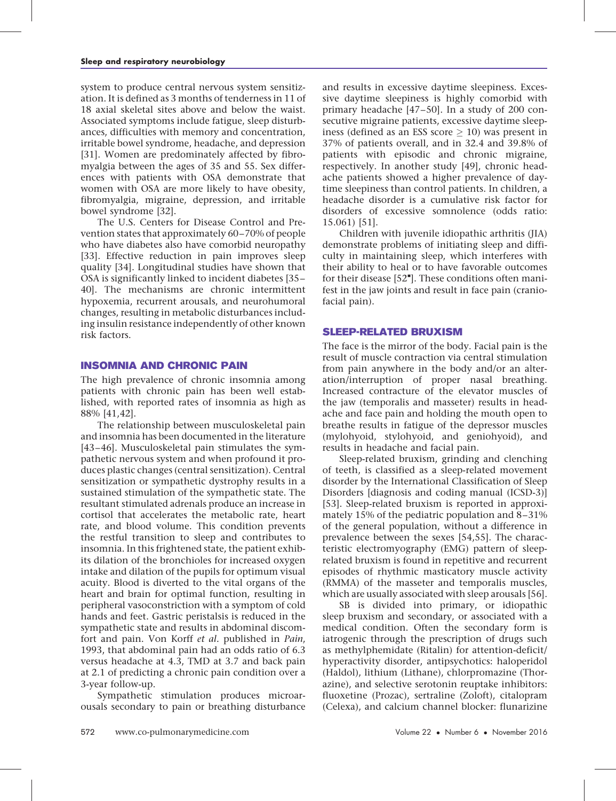system to produce central nervous system sensitization. It is defined as 3 months of tenderness in 11 of 18 axial skeletal sites above and below the waist. Associated symptoms include fatigue, sleep disturbances, difficulties with memory and concentration, irritable bowel syndrome, headache, and depression [\[31\].](#page-4-0) Women are predominately affected by fibromyalgia between the ages of 35 and 55. Sex differences with patients with OSA demonstrate that women with OSA are more likely to have obesity, fibromyalgia, migraine, depression, and irritable bowel syndrome [\[32\].](#page-4-0)

The U.S. Centers for Disease Control and Prevention states that approximately 60–70% of people who have diabetes also have comorbid neuropathy [\[33\].](#page-4-0) Effective reduction in pain improves sleep quality [\[34\]](#page-4-0). Longitudinal studies have shown that OSA is significantly linked to incident diabetes [\[35–](#page-4-0) [40\].](#page-4-0) The mechanisms are chronic intermittent hypoxemia, recurrent arousals, and neurohumoral changes, resulting in metabolic disturbances including insulin resistance independently of other known risk factors.

## INSOMNIA AND CHRONIC PAIN

The high prevalence of chronic insomnia among patients with chronic pain has been well established, with reported rates of insomnia as high as 88% [\[41,42\].](#page-5-0)

The relationship between musculoskeletal pain and insomnia has been documented in the literature [\[43–46\].](#page-5-0) Musculoskeletal pain stimulates the sympathetic nervous system and when profound it produces plastic changes (central sensitization). Central sensitization or sympathetic dystrophy results in a sustained stimulation of the sympathetic state. The resultant stimulated adrenals produce an increase in cortisol that accelerates the metabolic rate, heart rate, and blood volume. This condition prevents the restful transition to sleep and contributes to insomnia. In this frightened state, the patient exhibits dilation of the bronchioles for increased oxygen intake and dilation of the pupils for optimum visual acuity. Blood is diverted to the vital organs of the heart and brain for optimal function, resulting in peripheral vasoconstriction with a symptom of cold hands and feet. Gastric peristalsis is reduced in the sympathetic state and results in abdominal discomfort and pain. Von Korff et al. published in Pain, 1993, that abdominal pain had an odds ratio of 6.3 versus headache at 4.3, TMD at 3.7 and back pain at 2.1 of predicting a chronic pain condition over a 3-year follow-up.

Sympathetic stimulation produces microarousals secondary to pain or breathing disturbance and results in excessive daytime sleepiness. Excessive daytime sleepiness is highly comorbid with primary headache [\[47–50\].](#page-5-0) In a study of 200 consecutive migraine patients, excessive daytime sleepiness (defined as an ESS score  $> 10$ ) was present in 37% of patients overall, and in 32.4 and 39.8% of patients with episodic and chronic migraine, respectively. In another study [\[49\]](#page-5-0), chronic headache patients showed a higher prevalence of daytime sleepiness than control patients. In children, a headache disorder is a cumulative risk factor for disorders of excessive somnolence (odds ratio: 15.061) [\[51\]](#page-5-0).

Children with juvenile idiopathic arthritis (JIA) demonstrate problems of initiating sleep and difficulty in maintaining sleep, which interferes with their ability to heal or to have favorable outcomes for their disease [\[52](#page-5-0)"[\]](#page-5-0). These conditions often manifest in the jaw joints and result in face pain (craniofacial pain).

## SLEEP-RELATED BRUXISM

The face is the mirror of the body. Facial pain is the result of muscle contraction via central stimulation from pain anywhere in the body and/or an alteration/interruption of proper nasal breathing. Increased contracture of the elevator muscles of the jaw (temporalis and masseter) results in headache and face pain and holding the mouth open to breathe results in fatigue of the depressor muscles (mylohyoid, stylohyoid, and geniohyoid), and results in headache and facial pain.

Sleep-related bruxism, grinding and clenching of teeth, is classified as a sleep-related movement disorder by the International Classification of Sleep Disorders [diagnosis and coding manual (ICSD-3)] [\[53\].](#page-5-0) Sleep-related bruxism is reported in approximately 15% of the pediatric population and 8–31% of the general population, without a difference in prevalence between the sexes [\[54,55\].](#page-5-0) The characteristic electromyography (EMG) pattern of sleeprelated bruxism is found in repetitive and recurrent episodes of rhythmic masticatory muscle activity (RMMA) of the masseter and temporalis muscles, which are usually associated with sleep arousals [\[56\]](#page-5-0).

SB is divided into primary, or idiopathic sleep bruxism and secondary, or associated with a medical condition. Often the secondary form is iatrogenic through the prescription of drugs such as methylphemidate (Ritalin) for attention-deficit/ hyperactivity disorder, antipsychotics: haloperidol (Haldol), lithium (Lithane), chlorpromazine (Thorazine), and selective serotonin reuptake inhibitors: fluoxetine (Prozac), sertraline (Zoloft), citalopram (Celexa), and calcium channel blocker: flunarizine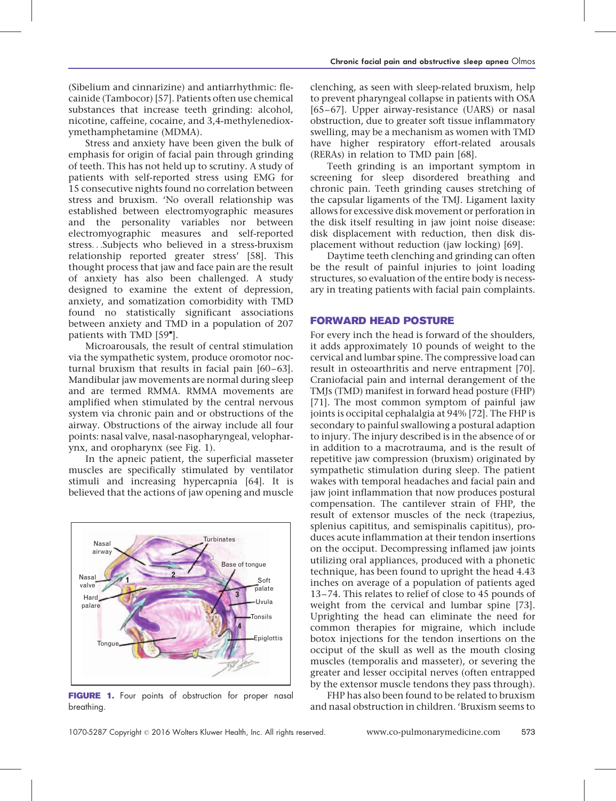(Sibelium and cinnarizine) and antiarrhythmic: flecainide (Tambocor) [\[57\].](#page-5-0) Patients often use chemical substances that increase teeth grinding: alcohol, nicotine, caffeine, cocaine, and 3,4-methylenedioxymethamphetamine (MDMA).

Stress and anxiety have been given the bulk of emphasis for origin of facial pain through grinding of teeth. This has not held up to scrutiny. A study of patients with self-reported stress using EMG for 15 consecutive nights found no correlation between stress and bruxism. 'No overall relationship was established between electromyographic measures and the personality variables nor between electromyographic measures and self-reported stress...Subjects who believed in a stress-bruxism relationship reported greater stress' [\[58\].](#page-5-0) This thought process that jaw and face pain are the result of anxiety has also been challenged. A study designed to examine the extent of depression, anxiety, and somatization comorbidity with TMD found no statistically significant associations between anxiety and TMD in a population of 207 patients with TMD [\[59](#page-5-0)"[\].](#page-5-0)

Microarousals, the result of central stimulation via the sympathetic system, produce oromotor nocturnal bruxism that results in facial pain [\[60–63\]](#page-5-0). Mandibular jaw movements are normal during sleep and are termed RMMA. RMMA movements are amplified when stimulated by the central nervous system via chronic pain and or obstructions of the airway. Obstructions of the airway include all four points: nasal valve, nasal-nasopharyngeal, velopharynx, and oropharynx (see Fig. 1).

In the apneic patient, the superficial masseter muscles are specifically stimulated by ventilator stimuli and increasing hypercapnia [\[64\].](#page-5-0) It is believed that the actions of jaw opening and muscle



FIGURE 1. Four points of obstruction for proper nasal breathing.

clenching, as seen with sleep-related bruxism, help to prevent pharyngeal collapse in patients with OSA [\[65–67\]](#page-5-0). Upper airway-resistance (UARS) or nasal obstruction, due to greater soft tissue inflammatory swelling, may be a mechanism as women with TMD have higher respiratory effort-related arousals (RERAs) in relation to TMD pain [\[68\]](#page-5-0).

Teeth grinding is an important symptom in screening for sleep disordered breathing and chronic pain. Teeth grinding causes stretching of the capsular ligaments of the TMJ. Ligament laxity allows for excessive disk movement or perforation in the disk itself resulting in jaw joint noise disease: disk displacement with reduction, then disk displacement without reduction (jaw locking) [\[69\].](#page-5-0)

Daytime teeth clenching and grinding can often be the result of painful injuries to joint loading structures, so evaluation of the entire body is necessary in treating patients with facial pain complaints.

### FORWARD HEAD POSTURE

For every inch the head is forward of the shoulders, it adds approximately 10 pounds of weight to the cervical and lumbar spine. The compressive load can result in osteoarthritis and nerve entrapment [\[70\]](#page-5-0). Craniofacial pain and internal derangement of the TMJs (TMD) manifest in forward head posture (FHP) [\[71\].](#page-5-0) The most common symptom of painful jaw joints is occipital cephalalgia at 94% [\[72\]](#page-5-0). The FHP is secondary to painful swallowing a postural adaption to injury. The injury described is in the absence of or in addition to a macrotrauma, and is the result of repetitive jaw compression (bruxism) originated by sympathetic stimulation during sleep. The patient wakes with temporal headaches and facial pain and jaw joint inflammation that now produces postural compensation. The cantilever strain of FHP, the result of extensor muscles of the neck (trapezius, splenius capititus, and semispinalis capititus), produces acute inflammation at their tendon insertions on the occiput. Decompressing inflamed jaw joints utilizing oral appliances, produced with a phonetic technique, has been found to upright the head 4.43 inches on average of a population of patients aged 13–74. This relates to relief of close to 45 pounds of weight from the cervical and lumbar spine [\[73\]](#page-5-0). Uprighting the head can eliminate the need for common therapies for migraine, which include botox injections for the tendon insertions on the occiput of the skull as well as the mouth closing muscles (temporalis and masseter), or severing the greater and lesser occipital nerves (often entrapped by the extensor muscle tendons they pass through).

FHP has also been found to be related to bruxism and nasal obstruction in children. 'Bruxism seems to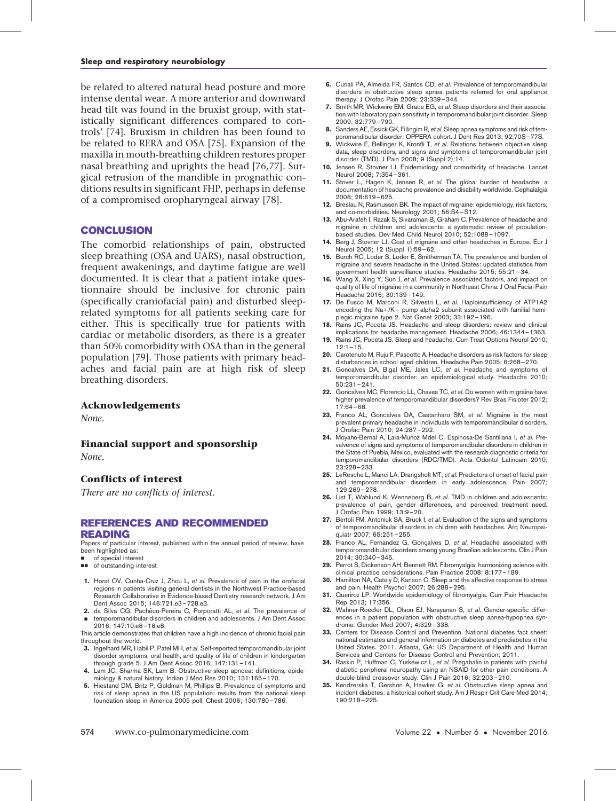<span id="page-4-0"></span>be related to altered natural head posture and more intense dental wear. A more anterior and downward head tilt was found in the bruxist group, with statistically significant differences compared to controls' [\[74\]](#page-5-0). Bruxism in children has been found to be related to RERA and OSA [\[75\].](#page-5-0) Expansion of the maxilla in mouth-breathing children restores proper nasal breathing and uprights the head [\[76,77\].](#page-5-0) Surgical retrusion of the mandible in prognathic conditions results in significant FHP, perhaps in defense of a compromised oropharyngeal airway [\[78\]](#page-5-0).

### CONCLUSION

The comorbid relationships of pain, obstructed sleep breathing (OSA and UARS), nasal obstruction, frequent awakenings, and daytime fatigue are well documented. It is clear that a patient intake questionnaire should be inclusive for chronic pain (specifically craniofacial pain) and disturbed sleeprelated symptoms for all patients seeking care for either. This is specifically true for patients with cardiac or metabolic disorders, as there is a greater than 50% comorbidity with OSA than in the general population [\[79\]](#page-5-0). Those patients with primary headaches and facial pain are at high risk of sleep breathing disorders.

#### Acknowledgements

None.

#### Financial support and sponsorship

None.

## Conflicts of interest

There are no conflicts of interest.

#### REFERENCES AND RECOMMENDED READING

Papers of particular interest, published within the annual period of review, have been highlighted as:

- of special interest
- $\blacksquare$  of outstanding interest
- 1. Horst OV, Cunha-Cruz J, Zhou L, et al. Prevalence of pain in the orofacial regions in patients visiting general dentists in the Northwest Practice-based Research Collaborative in Evidence-based Dentistry research network. J Am Dent Assoc 2015; 146:721.e3–728.e3.
- 2. da Silva CG, Pachêco-Pereira C, Porporatti AL, et al. The prevalence of & temporomandibular disorders in children and adolescents. J Am Dent Assoc 2016; 147:10.e8–18.e8.

This article demonstrates that children have a high incidence of chronic facial pain throughout the world.

- 3. Ingelhard MR, Habil P, Patel MH, et al. Self-reported temporomandibular joint disorder symptoms, oral health, and quality of life of children in kindergarten
- through grade 5. J Am Dent Assoc 2016; 147:131–141. 4. Lam JC, Sharma SK, Lam B. Obstructive sleep apnoea: definitions, epidemiology & natural history. Indian J Med Res 2010; 131:165–170.
- 5. Hiestand DM, Britz P, Goldman M, Phillips B. Prevalence of symptoms and risk of sleep apnea in the US population: results from the national sleep foundation sleep in America 2005 poll. Chest 2006; 130:780–786.
- 6. Cunali PA, Almeida FR, Santos CD, et al. Prevalence of temporomandibular disorders in obstructive sleep apnea patients referred for oral appliance therapy. J Orofac Pain 2009; 23:339–344.
- 7. Smith MR, Wickwire EM, Grace EG, et al. Sleep disorders and their association with laboratory pain sensitivity in temporomandibular joint disorder. Sleep 2009; 32:779–790.
- 8. Sanders AE, Essick GK, Fillingim R, et al. Sleep apnea symptoms and risk of temporomandibular disorder: OPPERA cohort. J Dent Res 2013; 92:70S–77S.
- 9. Wickwire E, Bellinger K, Kronfli T, et al. Relations between objective sleep data, sleep disorders, and signs and symptoms of temporomandibular joint disorder (TMD). J Pain 2008; 9 (Suppl 2):14.
- 10. Jensen R, Stovner LJ. Epidemiology and comorbidity of headache. Lancet Neurol 2008; 7:354–361.
- 11. Stover L, Hagen K, Jensen R, et al. The global burden of headache: a documentation of headache prevalence and disability worldwide. Cephalalgia 2008; 28:619–625.
- 12. Breslau N, Rasmussen BK. The impact of migraine: epidemiology, risk factors, and co-morbidities. Neurology 2001; 56:S4–S12.
- 13. Abu-Arafeh I, Razak S, Sivaraman B, Graham C. Prevalence of headache and migraine in children and adolescents: a systematic review of populationbased studies. Dev Med Child Neurol 2010; 52:1088–1097.
- 14. Berg J, Stovner LJ. Cost of migraine and other headaches in Europe. Eur J Neurol 2005; 12 (Suppl 1):59–62.
- 15. Burch RC, Loder S, Loder E, Smitherman TA. The prevalence and burden of migraine and severe headache in the United States: updated statistics from government health surveillance studies. Headache 2015; 55:21–34.
- 16. Wang X, Xing Y, Sun J, et al. Prevalence associated factors, and impact on quality of life of migraine in a community in Northeast China. J Oral Facial Pain Headache 2016; 30:139–149.
- 17. De Fusco M, Marconi R, Silvestri L, et al. Haploinsufficiency of ATP1A2 encoding the  $Na + / K +$  pump alpha2 subunit associated with familial hemiplegic migraine type 2. Nat Genet 2003; 33:192–196.

18. Rains JC, Poceta JS. Headache and sleep disorders: review and clinical implications for headache management. Headache 2006; 46:1344–1363.

- 19. Rains JC, Poceta JS. Sleep and headache. Curr Treat Options Neurol 2010;  $12:1 - 15.$
- 20. Carotenuto M, Ruju F, Pascotto A. Headache disorders as risk factors for sleep disturbances in school aged children. Headache Pain 2005; 6:268–270.
- 21. Goncalves DA, Bigal ME, Jales LC, et al. Headache and symptoms of temporomandibular disorder: an epidemiological study. Headache 2010; 50:231–241.
- 22. Goncalves MC, Florencio LL, Chaves TC, et al. Do women with migraine have higher prevalence of temporomandibular disorders? Rev Bras Fisioter 2012; 17:64–68.
- 23. Franco AL, Goncalves DA, Castanharo SM, et al. Migraine is the most prevalent primary headache in individuals with temporomandibular disorders. J Orofac Pain 2010; 24:287–292.
- 24. Moyaho-Bernal A, Lara-Muñoz Mdel C, Espinosa-De Santillana I, et al. Prevalvence of signs and symptoms of temporomandibular disorders in children in the State of Puebla, Mexico, evaluated with the research diagnostic criteria for temporomandibular disorders (RDC/TMD). Acta Odontol Latinoam 2010; 23:228–233.
- 25. LeResche L, Manci LA, Drangsholt MT, et al. Predictors of onset of facial pain and temporomandibular disorders in early adolescence. Pain 2007; 129:269–278.
- 26. List T, Wahlund K, Wenneberg B, et al. TMD in children and adolescents: prevalence of pain, gender differences, and perceived treatment need. J Orofac Pain 1999; 13:9–20.
- 27. Bertoli FM, Antoniuk SA, Bruck I, et al. Evaluation of the signs and symptoms of temporomandibular disorders in children with headaches. Arq Neuropsiquiatr 2007; 65:251–255.
- 28. Franco AL, Fernandez G, Gonçalves D, et al. Headache associated with temporomandibular disorders among young Brazilian adolescents. Clin J Pain 2014; 30:340–345.
- 29. Perrot S, Dickenson AH, Bennett RM. Fibromyalgia: harmonizing science with clinical practice considerations. Pain Practice 2008; 8:177–189.
- 30. Hamilton NA, Cately D, Karlson C. Sleep and the affective response to stress and pain. Health Psychol 2007; 26:288–295.
- 31. Queriroz LP. Worldwide epidemiology of fibromyalgia. Curr Pain Headache Rep 2013; 17:356.
- 32. Wahner-Roedler DL, Olson EJ, Narayanan S, et al. Gender-specific differences in a patient population with obstructive sleep apnea-hypopnea syndrome. Gender Med 2007; 4:329–338.
- 33. Centers for Disease Control and Prevention. National diabetes fact sheet: national estimates and general information on diabetes and prediabetes in the United States. 2011. Atlanta, GA: US Department of Health and Human Services and Centers for Disease Control and Prevention; 2011.
- 34. Raskin P, Huffman C, Yurkewicz L, et al. Pregabalin in patients with painful diabetic peripheral neuropathy using an NSAID for other pain conditions. A double-blind crossover study. Clin J Pain 2016; 32:203–210.
- 35. Kendzerska T, Gershon A, Hawker G, et al. Obstructive sleep apnea and incident diabetes: a historical cohort study. Am J Respir Crit Care Med 2014; 190:218–225.